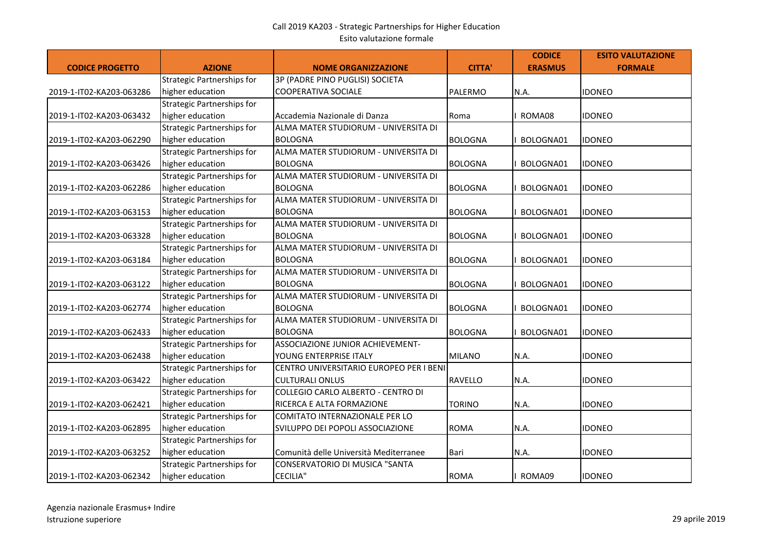| <b>CODICE PROGETTO</b>   | <b>AZIONE</b>                     | <b>NOME ORGANIZZAZIONE</b>              | <b>CITTA'</b>  | <b>CODICE</b><br><b>ERASMUS</b> | <b>ESITO VALUTAZIONE</b><br><b>FORMALE</b> |
|--------------------------|-----------------------------------|-----------------------------------------|----------------|---------------------------------|--------------------------------------------|
|                          | Strategic Partnerships for        | 3P (PADRE PINO PUGLISI) SOCIETA         |                |                                 |                                            |
| 2019-1-IT02-KA203-063286 | higher education                  | <b>COOPERATIVA SOCIALE</b>              | PALERMO        | N.A.                            | <b>IDONEO</b>                              |
|                          | <b>Strategic Partnerships for</b> |                                         |                |                                 |                                            |
| 2019-1-IT02-KA203-063432 | higher education                  | Accademia Nazionale di Danza            | Roma           | ROMA08                          | idoneo                                     |
|                          | Strategic Partnerships for        | ALMA MATER STUDIORUM - UNIVERSITA DI    |                |                                 |                                            |
| 2019-1-IT02-KA203-062290 | higher education                  | <b>BOLOGNA</b>                          | <b>BOLOGNA</b> | BOLOGNA01                       | <b>IDONEO</b>                              |
|                          | Strategic Partnerships for        | ALMA MATER STUDIORUM - UNIVERSITA DI    |                |                                 |                                            |
| 2019-1-IT02-KA203-063426 | higher education                  | <b>BOLOGNA</b>                          | <b>BOLOGNA</b> | BOLOGNA01                       | <b>IDONEO</b>                              |
|                          | Strategic Partnerships for        | ALMA MATER STUDIORUM - UNIVERSITA DI    |                |                                 |                                            |
| 2019-1-IT02-KA203-062286 | higher education                  | <b>BOLOGNA</b>                          | <b>BOLOGNA</b> | BOLOGNA01                       | <b>IDONEO</b>                              |
|                          | Strategic Partnerships for        | ALMA MATER STUDIORUM - UNIVERSITA DI    |                |                                 |                                            |
| 2019-1-IT02-KA203-063153 | higher education                  | <b>BOLOGNA</b>                          | <b>BOLOGNA</b> | BOLOGNA01                       | <b>IDONEO</b>                              |
|                          | <b>Strategic Partnerships for</b> | ALMA MATER STUDIORUM - UNIVERSITA DI    |                |                                 |                                            |
| 2019-1-IT02-KA203-063328 | higher education                  | <b>BOLOGNA</b>                          | <b>BOLOGNA</b> | BOLOGNA01                       | IDONEO                                     |
|                          | Strategic Partnerships for        | ALMA MATER STUDIORUM - UNIVERSITA DI    |                |                                 |                                            |
| 2019-1-IT02-KA203-063184 | higher education                  | <b>BOLOGNA</b>                          | <b>BOLOGNA</b> | BOLOGNA01                       | <b>IDONEO</b>                              |
|                          | Strategic Partnerships for        | ALMA MATER STUDIORUM - UNIVERSITA DI    |                |                                 |                                            |
| 2019-1-IT02-KA203-063122 | higher education                  | <b>BOLOGNA</b>                          | <b>BOLOGNA</b> | BOLOGNA01                       | <b>IDONEO</b>                              |
|                          | Strategic Partnerships for        | ALMA MATER STUDIORUM - UNIVERSITA DI    |                |                                 |                                            |
| 2019-1-IT02-KA203-062774 | higher education                  | <b>BOLOGNA</b>                          | <b>BOLOGNA</b> | BOLOGNA01                       | <b>IDONEO</b>                              |
|                          | <b>Strategic Partnerships for</b> | ALMA MATER STUDIORUM - UNIVERSITA DI    |                |                                 |                                            |
| 2019-1-IT02-KA203-062433 | higher education                  | <b>BOLOGNA</b>                          | <b>BOLOGNA</b> | BOLOGNA01                       | <b>IDONEO</b>                              |
|                          | <b>Strategic Partnerships for</b> | ASSOCIAZIONE JUNIOR ACHIEVEMENT-        |                |                                 |                                            |
| 2019-1-IT02-KA203-062438 | higher education                  | YOUNG ENTERPRISE ITALY                  | <b>MILANO</b>  | N.A.                            | IDONEO                                     |
|                          | Strategic Partnerships for        | CENTRO UNIVERSITARIO EUROPEO PER I BENI |                |                                 |                                            |
| 2019-1-IT02-KA203-063422 | higher education                  | <b>CULTURALI ONLUS</b>                  | RAVELLO        | N.A.                            | IDONEO                                     |
|                          | <b>Strategic Partnerships for</b> | COLLEGIO CARLO ALBERTO - CENTRO DI      |                |                                 |                                            |
| 2019-1-IT02-KA203-062421 | higher education                  | RICERCA E ALTA FORMAZIONE               | <b>TORINO</b>  | <b>N.A.</b>                     | <b>IDONEO</b>                              |
|                          | Strategic Partnerships for        | <b>COMITATO INTERNAZIONALE PER LO</b>   |                |                                 |                                            |
| 2019-1-IT02-KA203-062895 | higher education                  | SVILUPPO DEI POPOLI ASSOCIAZIONE        | <b>ROMA</b>    | N.A.                            | IDONEO                                     |
|                          | Strategic Partnerships for        |                                         |                |                                 |                                            |
| 2019-1-IT02-KA203-063252 | higher education                  | Comunità delle Università Mediterranee  | Bari           | <b>N.A.</b>                     | <b>IDONEO</b>                              |
|                          | Strategic Partnerships for        | <b>CONSERVATORIO DI MUSICA "SANTA</b>   |                |                                 |                                            |
| 2019-1-IT02-KA203-062342 | higher education                  | <b>CECILIA"</b>                         | <b>ROMA</b>    | ROMA09                          | <b>IDONEO</b>                              |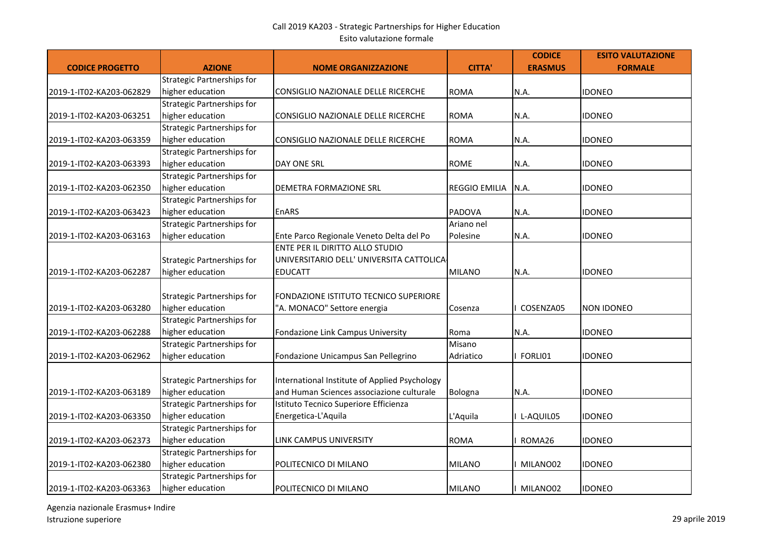| <b>CODICE PROGETTO</b>   | <b>AZIONE</b>                                         | <b>NOME ORGANIZZAZIONE</b>                                                                 | <b>CITTA'</b>        | <b>CODICE</b><br><b>ERASMUS</b> | <b>ESITO VALUTAZIONE</b><br><b>FORMALE</b> |
|--------------------------|-------------------------------------------------------|--------------------------------------------------------------------------------------------|----------------------|---------------------------------|--------------------------------------------|
|                          | <b>Strategic Partnerships for</b>                     |                                                                                            |                      |                                 |                                            |
| 2019-1-IT02-KA203-062829 | higher education                                      | CONSIGLIO NAZIONALE DELLE RICERCHE                                                         | <b>ROMA</b>          | N.A.                            | <b>IDONEO</b>                              |
|                          | <b>Strategic Partnerships for</b>                     |                                                                                            |                      |                                 |                                            |
| 2019-1-IT02-KA203-063251 | higher education                                      | CONSIGLIO NAZIONALE DELLE RICERCHE                                                         | <b>ROMA</b>          | N.A.                            | <b>IDONEO</b>                              |
|                          | <b>Strategic Partnerships for</b>                     |                                                                                            |                      |                                 |                                            |
| 2019-1-IT02-KA203-063359 | higher education                                      | CONSIGLIO NAZIONALE DELLE RICERCHE                                                         | <b>ROMA</b>          | N.A.                            | <b>IDONEO</b>                              |
|                          | <b>Strategic Partnerships for</b>                     |                                                                                            |                      |                                 |                                            |
| 2019-1-IT02-KA203-063393 | higher education                                      | DAY ONE SRL                                                                                | <b>ROME</b>          | N.A.                            | <b>IDONEO</b>                              |
|                          | <b>Strategic Partnerships for</b>                     |                                                                                            |                      |                                 |                                            |
| 2019-1-IT02-KA203-062350 | higher education                                      | DEMETRA FORMAZIONE SRL                                                                     | <b>REGGIO EMILIA</b> | N.A.                            | <b>IDONEO</b>                              |
|                          | <b>Strategic Partnerships for</b>                     |                                                                                            |                      |                                 |                                            |
| 2019-1-IT02-KA203-063423 | higher education                                      | <b>EnARS</b>                                                                               | PADOVA               | N.A.                            | <b>IDONEO</b>                              |
|                          | <b>Strategic Partnerships for</b>                     |                                                                                            | Ariano nel           |                                 |                                            |
| 2019-1-IT02-KA203-063163 | higher education                                      | Ente Parco Regionale Veneto Delta del Po                                                   | Polesine             | N.A.                            | <b>IDONEO</b>                              |
|                          | <b>Strategic Partnerships for</b>                     | ENTE PER IL DIRITTO ALLO STUDIO<br>UNIVERSITARIO DELL' UNIVERSITA CATTOLICA-               |                      |                                 |                                            |
| 2019-1-IT02-KA203-062287 | higher education                                      | <b>EDUCATT</b>                                                                             | <b>MILANO</b>        | N.A.                            | <b>IDONEO</b>                              |
| 2019-1-IT02-KA203-063280 | <b>Strategic Partnerships for</b><br>higher education | FONDAZIONE ISTITUTO TECNICO SUPERIORE<br>"A. MONACO" Settore energia                       | Cosenza              | I COSENZA05                     | <b>NON IDONEO</b>                          |
|                          | <b>Strategic Partnerships for</b>                     |                                                                                            |                      |                                 |                                            |
| 2019-1-IT02-KA203-062288 | higher education                                      | Fondazione Link Campus University                                                          | Roma                 | N.A.                            | <b>IDONEO</b>                              |
|                          | <b>Strategic Partnerships for</b>                     |                                                                                            | Misano               |                                 |                                            |
| 2019-1-IT02-KA203-062962 | higher education                                      | Fondazione Unicampus San Pellegrino                                                        | Adriatico            | I FORLI01                       | <b>IDONEO</b>                              |
| 2019-1-IT02-KA203-063189 | <b>Strategic Partnerships for</b><br>higher education | International Institute of Applied Psychology<br>and Human Sciences associazione culturale | Bologna              | N.A.                            | <b>IDONEO</b>                              |
|                          | <b>Strategic Partnerships for</b>                     | Istituto Tecnico Superiore Efficienza                                                      |                      |                                 |                                            |
| 2019-1-IT02-KA203-063350 | higher education                                      | Energetica-L'Aquila                                                                        | L'Aquila             | I L-AQUIL05                     | <b>IDONEO</b>                              |
|                          | <b>Strategic Partnerships for</b>                     |                                                                                            |                      |                                 |                                            |
| 2019-1-IT02-KA203-062373 | higher education                                      | <b>LINK CAMPUS UNIVERSITY</b>                                                              | <b>ROMA</b>          | ROMA26                          | <b>IDONEO</b>                              |
|                          | <b>Strategic Partnerships for</b>                     |                                                                                            |                      |                                 |                                            |
| 2019-1-IT02-KA203-062380 | higher education                                      | POLITECNICO DI MILANO                                                                      | <b>MILANO</b>        | MILANO02                        | <b>IDONEO</b>                              |
|                          | <b>Strategic Partnerships for</b>                     |                                                                                            |                      |                                 |                                            |
| 2019-1-IT02-KA203-063363 | higher education                                      | POLITECNICO DI MILANO                                                                      | <b>MILANO</b>        | MILANO02                        | <b>IDONEO</b>                              |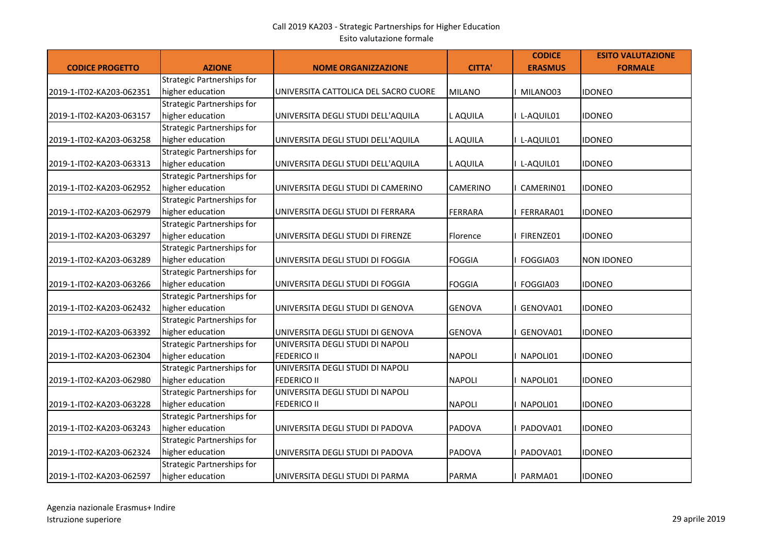| <b>CODICE PROGETTO</b>   | <b>AZIONE</b>                     | <b>NOME ORGANIZZAZIONE</b>           | <b>CITTA'</b>   | <b>CODICE</b><br><b>ERASMUS</b> | <b>ESITO VALUTAZIONE</b><br><b>FORMALE</b> |
|--------------------------|-----------------------------------|--------------------------------------|-----------------|---------------------------------|--------------------------------------------|
|                          | <b>Strategic Partnerships for</b> |                                      |                 |                                 |                                            |
| 2019-1-IT02-KA203-062351 | higher education                  | UNIVERSITA CATTOLICA DEL SACRO CUORE | <b>MILANO</b>   | MILANO03                        | <b>IDONEO</b>                              |
|                          | <b>Strategic Partnerships for</b> |                                      |                 |                                 |                                            |
| 2019-1-IT02-KA203-063157 | higher education                  | UNIVERSITA DEGLI STUDI DELL'AQUILA   | L AQUILA        | I L-AQUIL01                     | <b>IDONEO</b>                              |
|                          | <b>Strategic Partnerships for</b> |                                      |                 |                                 |                                            |
| 2019-1-IT02-KA203-063258 | higher education                  | UNIVERSITA DEGLI STUDI DELL'AQUILA   | L AQUILA        | I L-AQUIL01                     | <b>IDONEO</b>                              |
|                          | <b>Strategic Partnerships for</b> |                                      |                 |                                 |                                            |
| 2019-1-IT02-KA203-063313 | higher education                  | UNIVERSITA DEGLI STUDI DELL'AQUILA   | L AQUILA        | I L-AQUIL01                     | <b>IDONEO</b>                              |
|                          | <b>Strategic Partnerships for</b> |                                      |                 |                                 |                                            |
| 2019-1-IT02-KA203-062952 | higher education                  | UNIVERSITA DEGLI STUDI DI CAMERINO   | <b>CAMERINO</b> | I CAMERIN01                     | <b>IDONEO</b>                              |
|                          | <b>Strategic Partnerships for</b> |                                      |                 |                                 |                                            |
| 2019-1-IT02-KA203-062979 | higher education                  | UNIVERSITA DEGLI STUDI DI FERRARA    | <b>FERRARA</b>  | I FERRARA01                     | <b>IDONEO</b>                              |
|                          | <b>Strategic Partnerships for</b> |                                      |                 |                                 |                                            |
| 2019-1-IT02-KA203-063297 | higher education                  | UNIVERSITA DEGLI STUDI DI FIRENZE    | Florence        | FIRENZE01                       | <b>IDONEO</b>                              |
|                          | <b>Strategic Partnerships for</b> |                                      |                 |                                 |                                            |
| 2019-1-IT02-KA203-063289 | higher education                  | UNIVERSITA DEGLI STUDI DI FOGGIA     | FOGGIA          | FOGGIA03                        | <b>NON IDONEO</b>                          |
|                          | <b>Strategic Partnerships for</b> |                                      |                 |                                 |                                            |
| 2019-1-IT02-KA203-063266 | higher education                  | UNIVERSITA DEGLI STUDI DI FOGGIA     | <b>FOGGIA</b>   | FOGGIA03                        | <b>IDONEO</b>                              |
|                          | <b>Strategic Partnerships for</b> |                                      |                 |                                 |                                            |
| 2019-1-IT02-KA203-062432 | higher education                  | UNIVERSITA DEGLI STUDI DI GENOVA     | <b>GENOVA</b>   | GENOVA01                        | <b>IDONEO</b>                              |
|                          | <b>Strategic Partnerships for</b> |                                      |                 |                                 |                                            |
| 2019-1-IT02-KA203-063392 | higher education                  | UNIVERSITA DEGLI STUDI DI GENOVA     | <b>GENOVA</b>   | GENOVA01                        | <b>IDONEO</b>                              |
|                          | <b>Strategic Partnerships for</b> | UNIVERSITA DEGLI STUDI DI NAPOLI     |                 |                                 |                                            |
| 2019-1-IT02-KA203-062304 | higher education                  | <b>FEDERICO II</b>                   | <b>NAPOLI</b>   | I NAPOLI01                      | <b>IDONEO</b>                              |
|                          | <b>Strategic Partnerships for</b> | UNIVERSITA DEGLI STUDI DI NAPOLI     |                 |                                 |                                            |
| 2019-1-IT02-KA203-062980 | higher education                  | <b>FEDERICO II</b>                   | <b>NAPOLI</b>   | NAPOLI01                        | <b>IDONEO</b>                              |
|                          | <b>Strategic Partnerships for</b> | UNIVERSITA DEGLI STUDI DI NAPOLI     |                 |                                 |                                            |
| 2019-1-IT02-KA203-063228 | higher education                  | <b>FEDERICO II</b>                   | <b>NAPOLI</b>   | NAPOLI01                        | IIDONEO                                    |
|                          | <b>Strategic Partnerships for</b> |                                      |                 |                                 |                                            |
| 2019-1-IT02-KA203-063243 | higher education                  | UNIVERSITA DEGLI STUDI DI PADOVA     | <b>PADOVA</b>   | PADOVA01                        | <b>IDONEO</b>                              |
|                          | <b>Strategic Partnerships for</b> |                                      |                 |                                 |                                            |
| 2019-1-IT02-KA203-062324 | higher education                  | UNIVERSITA DEGLI STUDI DI PADOVA     | <b>PADOVA</b>   | PADOVA01                        | <b>IDONEO</b>                              |
|                          | <b>Strategic Partnerships for</b> |                                      |                 |                                 |                                            |
| 2019-1-IT02-KA203-062597 | higher education                  | UNIVERSITA DEGLI STUDI DI PARMA      | <b>PARMA</b>    | PARMA01                         | <b>IDONEO</b>                              |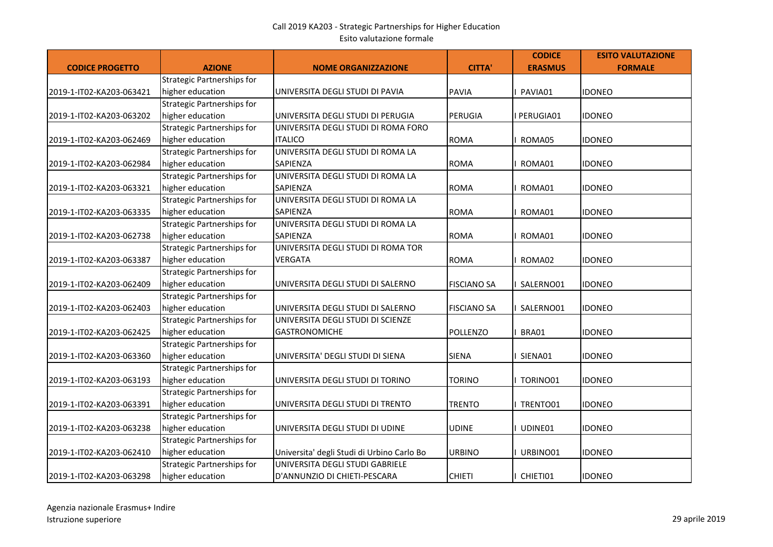| <b>CODICE PROGETTO</b>   | <b>AZIONE</b>                     | <b>NOME ORGANIZZAZIONE</b>                 | <b>CITTA'</b>      | <b>CODICE</b><br><b>ERASMUS</b> | <b>ESITO VALUTAZIONE</b><br><b>FORMALE</b> |
|--------------------------|-----------------------------------|--------------------------------------------|--------------------|---------------------------------|--------------------------------------------|
|                          | <b>Strategic Partnerships for</b> |                                            |                    |                                 |                                            |
| 2019-1-IT02-KA203-063421 | higher education                  | UNIVERSITA DEGLI STUDI DI PAVIA            | <b>PAVIA</b>       | I PAVIA01                       | <b>IDONEO</b>                              |
|                          | Strategic Partnerships for        |                                            |                    |                                 |                                            |
| 2019-1-IT02-KA203-063202 | higher education                  | UNIVERSITA DEGLI STUDI DI PERUGIA          | PERUGIA            | I PERUGIA01                     | <b>IDONEO</b>                              |
|                          | <b>Strategic Partnerships for</b> | UNIVERSITA DEGLI STUDI DI ROMA FORO        |                    |                                 |                                            |
| 2019-1-IT02-KA203-062469 | higher education                  | <b>ITALICO</b>                             | <b>ROMA</b>        | ROMA05                          | <b>IDONEO</b>                              |
|                          | <b>Strategic Partnerships for</b> | UNIVERSITA DEGLI STUDI DI ROMA LA          |                    |                                 |                                            |
| 2019-1-IT02-KA203-062984 | higher education                  | SAPIENZA                                   | <b>ROMA</b>        | ROMA01                          | <b>IDONEO</b>                              |
|                          | Strategic Partnerships for        | UNIVERSITA DEGLI STUDI DI ROMA LA          |                    |                                 |                                            |
| 2019-1-IT02-KA203-063321 | higher education                  | SAPIENZA                                   | <b>ROMA</b>        | ROMA01                          | <b>IDONEO</b>                              |
|                          | <b>Strategic Partnerships for</b> | UNIVERSITA DEGLI STUDI DI ROMA LA          |                    |                                 |                                            |
| 2019-1-IT02-KA203-063335 | higher education                  | SAPIENZA                                   | <b>ROMA</b>        | ROMA01                          | <b>IDONEO</b>                              |
|                          | <b>Strategic Partnerships for</b> | UNIVERSITA DEGLI STUDI DI ROMA LA          |                    |                                 |                                            |
| 2019-1-IT02-KA203-062738 | higher education                  | SAPIENZA                                   | <b>ROMA</b>        | ROMA01                          | <b>IDONEO</b>                              |
|                          | Strategic Partnerships for        | UNIVERSITA DEGLI STUDI DI ROMA TOR         |                    |                                 |                                            |
| 2019-1-IT02-KA203-063387 | higher education                  | <b>VERGATA</b>                             | <b>ROMA</b>        | ROMA02                          | <b>IDONEO</b>                              |
|                          | <b>Strategic Partnerships for</b> |                                            |                    |                                 |                                            |
| 2019-1-IT02-KA203-062409 | higher education                  | UNIVERSITA DEGLI STUDI DI SALERNO          | <b>FISCIANO SA</b> | SALERNO01                       | <b>IDONEO</b>                              |
|                          | <b>Strategic Partnerships for</b> |                                            |                    |                                 |                                            |
| 2019-1-IT02-KA203-062403 | higher education                  | UNIVERSITA DEGLI STUDI DI SALERNO          | <b>FISCIANO SA</b> | SALERNO01                       | <b>IDONEO</b>                              |
|                          | Strategic Partnerships for        | UNIVERSITA DEGLI STUDI DI SCIENZE          |                    |                                 |                                            |
| 2019-1-IT02-KA203-062425 | higher education                  | <b>GASTRONOMICHE</b>                       | <b>POLLENZO</b>    | BRA01                           | <b>IDONEO</b>                              |
|                          | Strategic Partnerships for        |                                            |                    |                                 |                                            |
| 2019-1-IT02-KA203-063360 | higher education                  | UNIVERSITA' DEGLI STUDI DI SIENA           | <b>SIENA</b>       | I SIENA01                       | <b>IDONEO</b>                              |
|                          | <b>Strategic Partnerships for</b> |                                            |                    |                                 |                                            |
| 2019-1-IT02-KA203-063193 | higher education                  | UNIVERSITA DEGLI STUDI DI TORINO           | TORINO             | I TORINO01                      | <b>IDONEO</b>                              |
|                          | <b>Strategic Partnerships for</b> |                                            |                    |                                 |                                            |
| 2019-1-IT02-KA203-063391 | higher education                  | UNIVERSITA DEGLI STUDI DI TRENTO           | <b>TRENTO</b>      | I TRENTO01                      | <b>IDONEO</b>                              |
|                          | Strategic Partnerships for        |                                            |                    |                                 |                                            |
| 2019-1-IT02-KA203-063238 | higher education                  | UNIVERSITA DEGLI STUDI DI UDINE            | UDINE              | I UDINE01                       | <b>IDONEO</b>                              |
|                          | Strategic Partnerships for        |                                            |                    |                                 |                                            |
| 2019-1-IT02-KA203-062410 | higher education                  | Universita' degli Studi di Urbino Carlo Bo | <b>URBINO</b>      | I URBINO01                      | <b>IDONEO</b>                              |
|                          | <b>Strategic Partnerships for</b> | UNIVERSITA DEGLI STUDI GABRIELE            |                    |                                 |                                            |
| 2019-1-IT02-KA203-063298 | higher education                  | D'ANNUNZIO DI CHIETI-PESCARA               | <b>CHIETI</b>      | CHIETI01                        | <b>IDONEO</b>                              |